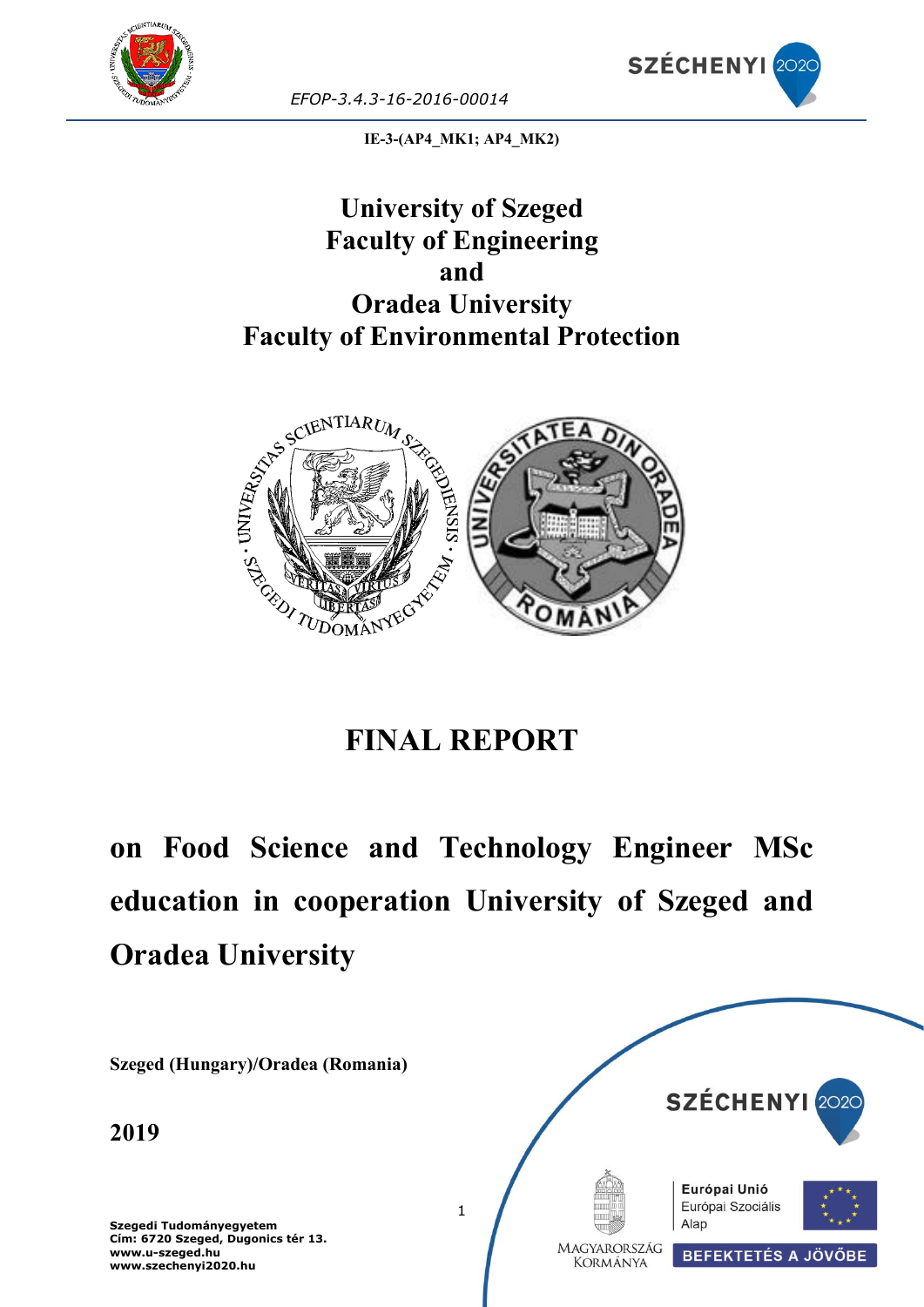



**IE-3-(AP4\_MK1; AP4\_MK2)**

## **University of Szeged Faculty of Engineering and Oradea University Faculty of Environmental Protection**



# **FINAL REPORT**

# **on Food Science and Technology Engineer MSc education in cooperation University of Szeged and Oradea University**

**Szeged (Hungary)/Oradea (Romania)**

**2019**

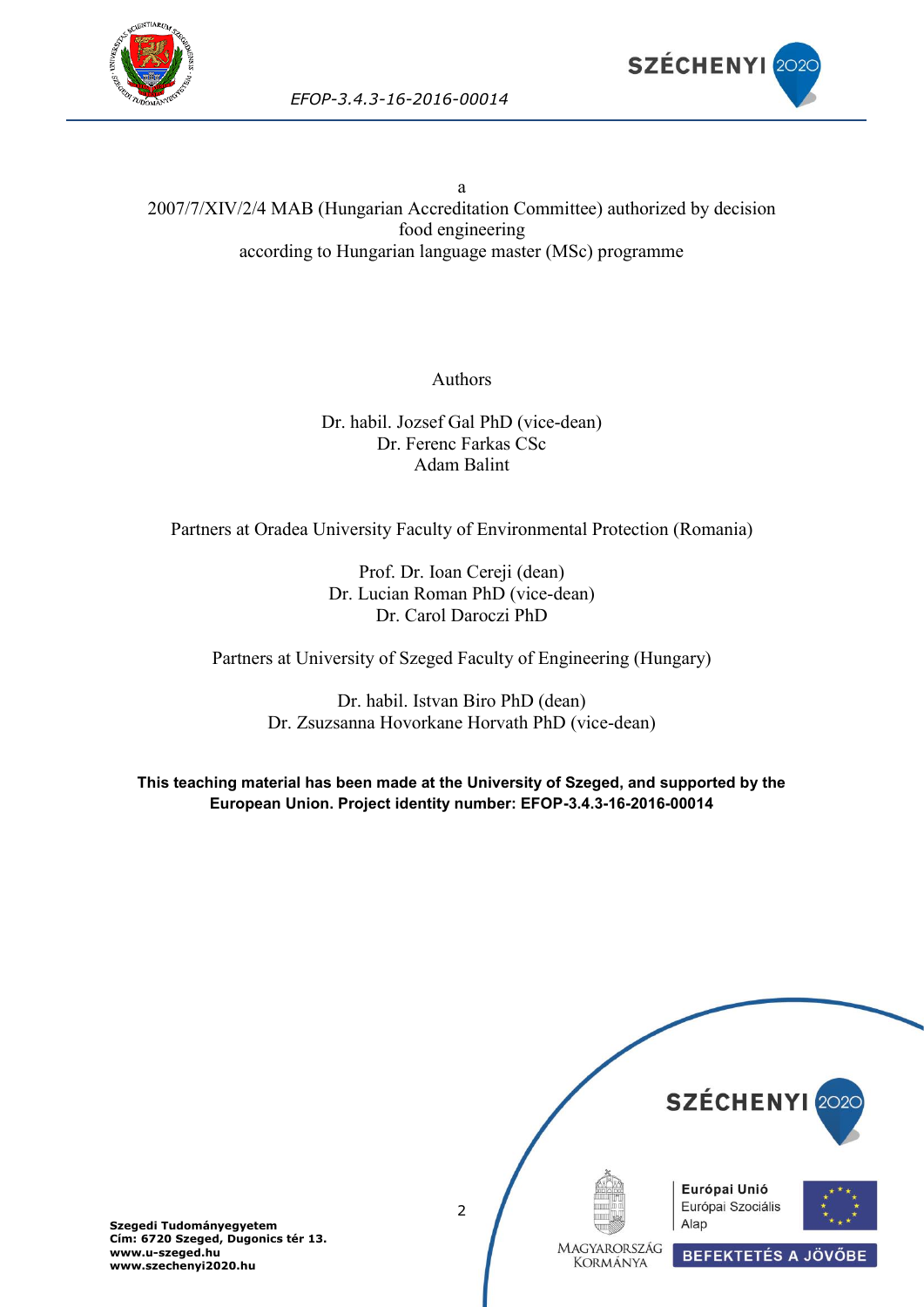



a 2007/7/XIV/2/4 MAB (Hungarian Accreditation Committee) authorized by decision food engineering according to Hungarian language master (MSc) programme

Authors

Dr. habil. Jozsef Gal PhD (vice-dean) Dr. Ferenc Farkas CSc Adam Balint

Partners at Oradea University Faculty of Environmental Protection (Romania)

Prof. Dr. Ioan Cereji (dean) Dr. Lucian Roman PhD (vice-dean) Dr. Carol Daroczi PhD

Partners at University of Szeged Faculty of Engineering (Hungary)

Dr. habil. Istvan Biro PhD (dean) Dr. Zsuzsanna Hovorkane Horvath PhD (vice-dean)

**This teaching material has been made at the University of Szeged, and supported by the European Union. Project identity number: EFOP-3.4.3-16-2016-00014**

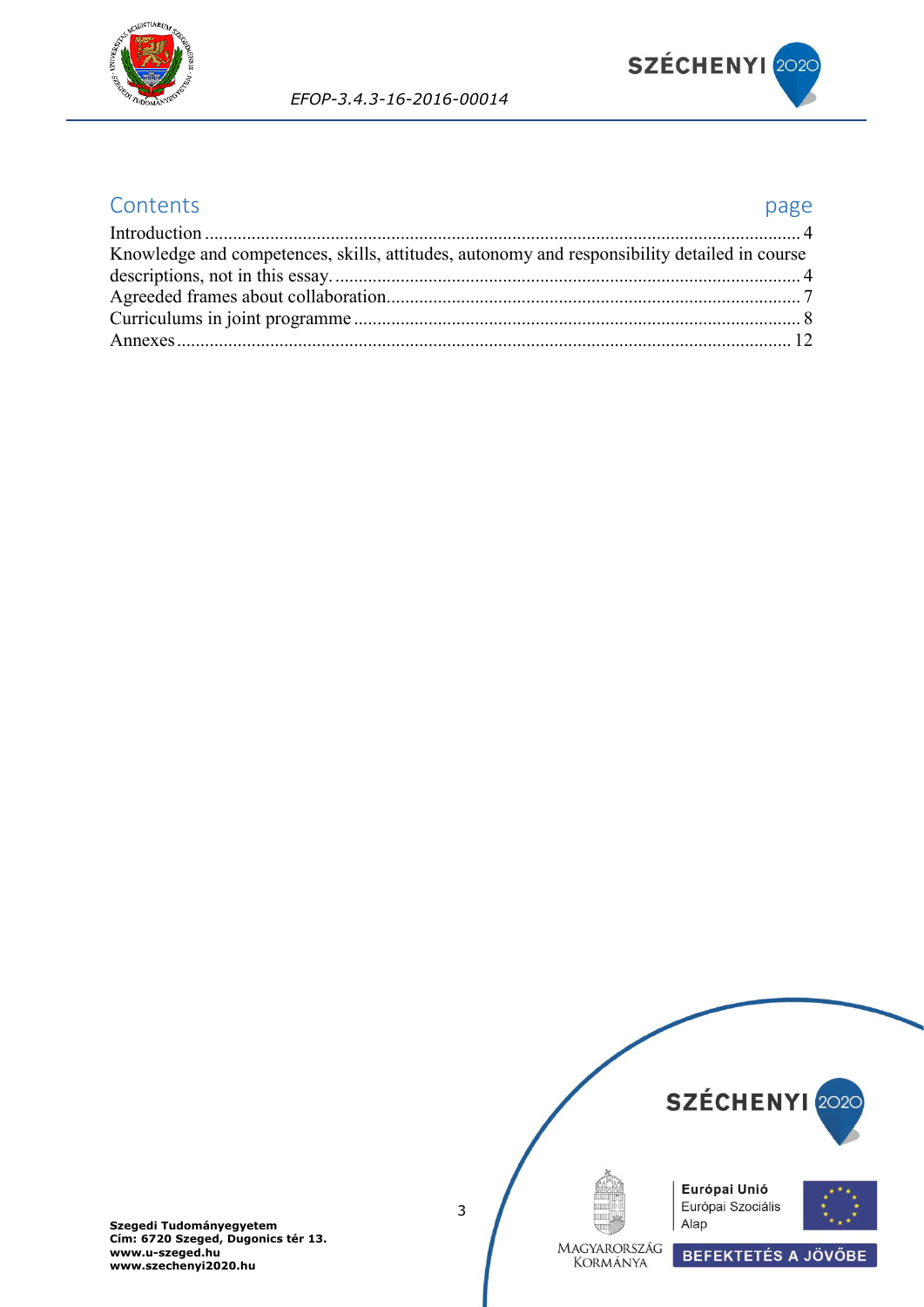



### Contents **page**

| Knowledge and competences, skills, attitudes, autonomy and responsibility detailed in course |  |
|----------------------------------------------------------------------------------------------|--|
|                                                                                              |  |
|                                                                                              |  |
|                                                                                              |  |
|                                                                                              |  |

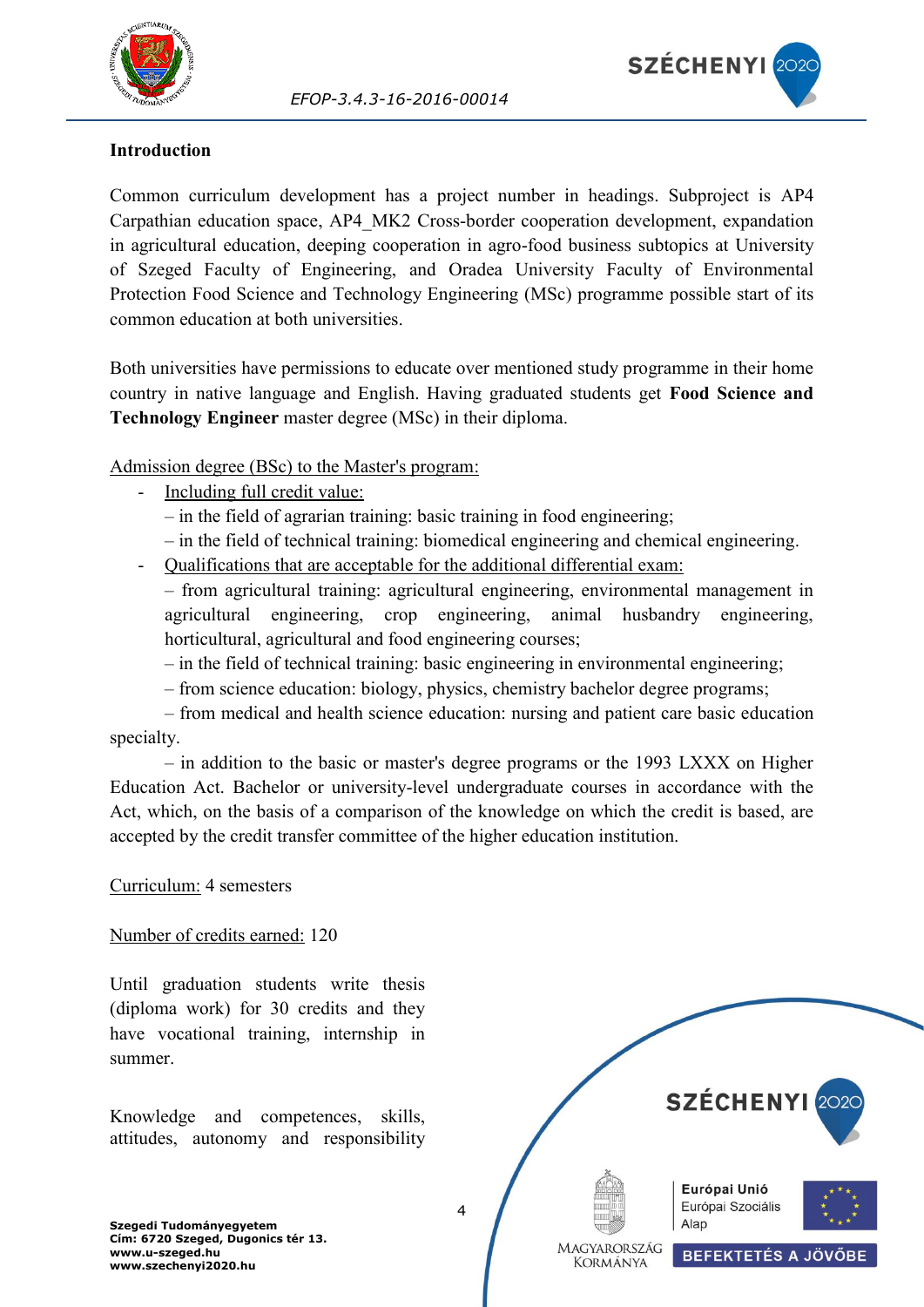



#### <span id="page-3-0"></span>**Introduction**

Common curriculum development has a project number in headings. Subproject is AP4 Carpathian education space, AP4\_MK2 Cross-border cooperation development, expandation in agricultural education, deeping cooperation in agro-food business subtopics at University of Szeged Faculty of Engineering, and Oradea University Faculty of Environmental Protection Food Science and Technology Engineering (MSc) programme possible start of its common education at both universities.

Both universities have permissions to educate over mentioned study programme in their home country in native language and English. Having graduated students get **Food Science and Technology Engineer** master degree (MSc) in their diploma.

Admission degree (BSc) to the Master's program:

- Including full credit value:
	- in the field of agrarian training: basic training in food engineering;
	- in the field of technical training: biomedical engineering and chemical engineering.
- Qualifications that are acceptable for the additional differential exam:
	- from agricultural training: agricultural engineering, environmental management in agricultural engineering, crop engineering, animal husbandry engineering, horticultural, agricultural and food engineering courses;
	- in the field of technical training: basic engineering in environmental engineering;
	- from science education: biology, physics, chemistry bachelor degree programs;
- from medical and health science education: nursing and patient care basic education specialty.

– in addition to the basic or master's degree programs or the 1993 LXXX on Higher Education Act. Bachelor or university-level undergraduate courses in accordance with the Act, which, on the basis of a comparison of the knowledge on which the credit is based, are accepted by the credit transfer committee of the higher education institution.

#### Curriculum: 4 semesters

#### Number of credits earned: 120

Until graduation students write thesis (diploma work) for 30 credits and they have vocational training, internship in summer.

<span id="page-3-1"></span>Knowledge and competences, skills, attitudes, autonomy and responsibility

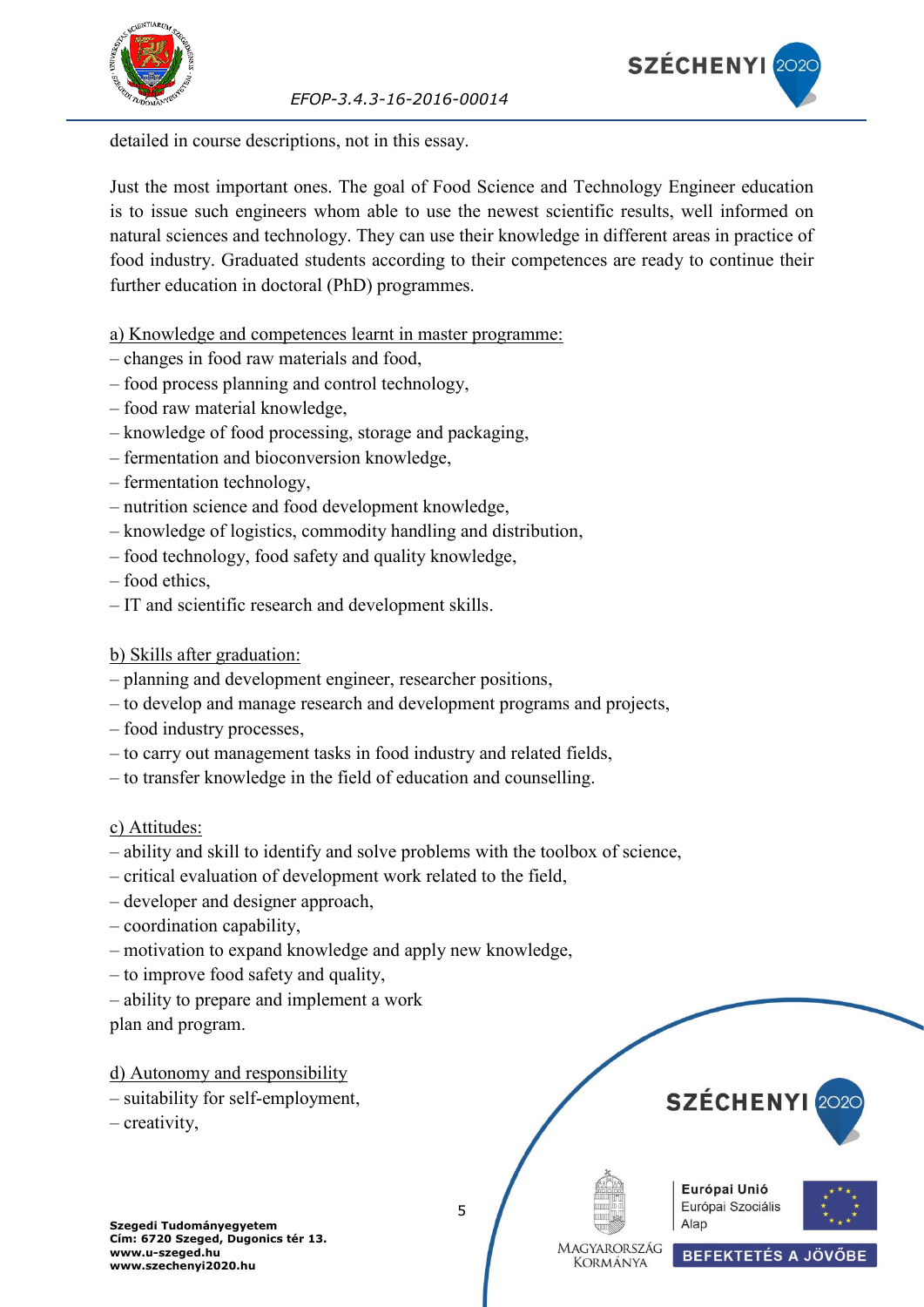



detailed in course descriptions, not in this essay.

Just the most important ones. The goal of Food Science and Technology Engineer education is to issue such engineers whom able to use the newest scientific results, well informed on natural sciences and technology. They can use their knowledge in different areas in practice of food industry. Graduated students according to their competences are ready to continue their further education in doctoral (PhD) programmes.

a) Knowledge and competences learnt in master programme:

- changes in food raw materials and food,
- food process planning and control technology,
- food raw material knowledge,
- knowledge of food processing, storage and packaging,
- fermentation and bioconversion knowledge,
- fermentation technology,
- nutrition science and food development knowledge,
- knowledge of logistics, commodity handling and distribution,
- food technology, food safety and quality knowledge,
- food ethics,
- IT and scientific research and development skills.

b) Skills after graduation:

- planning and development engineer, researcher positions,
- to develop and manage research and development programs and projects,
- food industry processes,
- to carry out management tasks in food industry and related fields,
- to transfer knowledge in the field of education and counselling.

c) Attitudes:

- ability and skill to identify and solve problems with the toolbox of science,
- critical evaluation of development work related to the field,
- developer and designer approach,
- coordination capability,
- motivation to expand knowledge and apply new knowledge,
- to improve food safety and quality,
- ability to prepare and implement a work

plan and program.

d) Autonomy and responsibility

- suitability for self-employment,
- creativity,









**Szegedi Tudományegyetem Cím: 6720 Szeged, Dugonics tér 13. www.u-szeged.hu www.szechenyi2020.hu**

5

**MAGYARORSZÁG KORMÁNYA** 

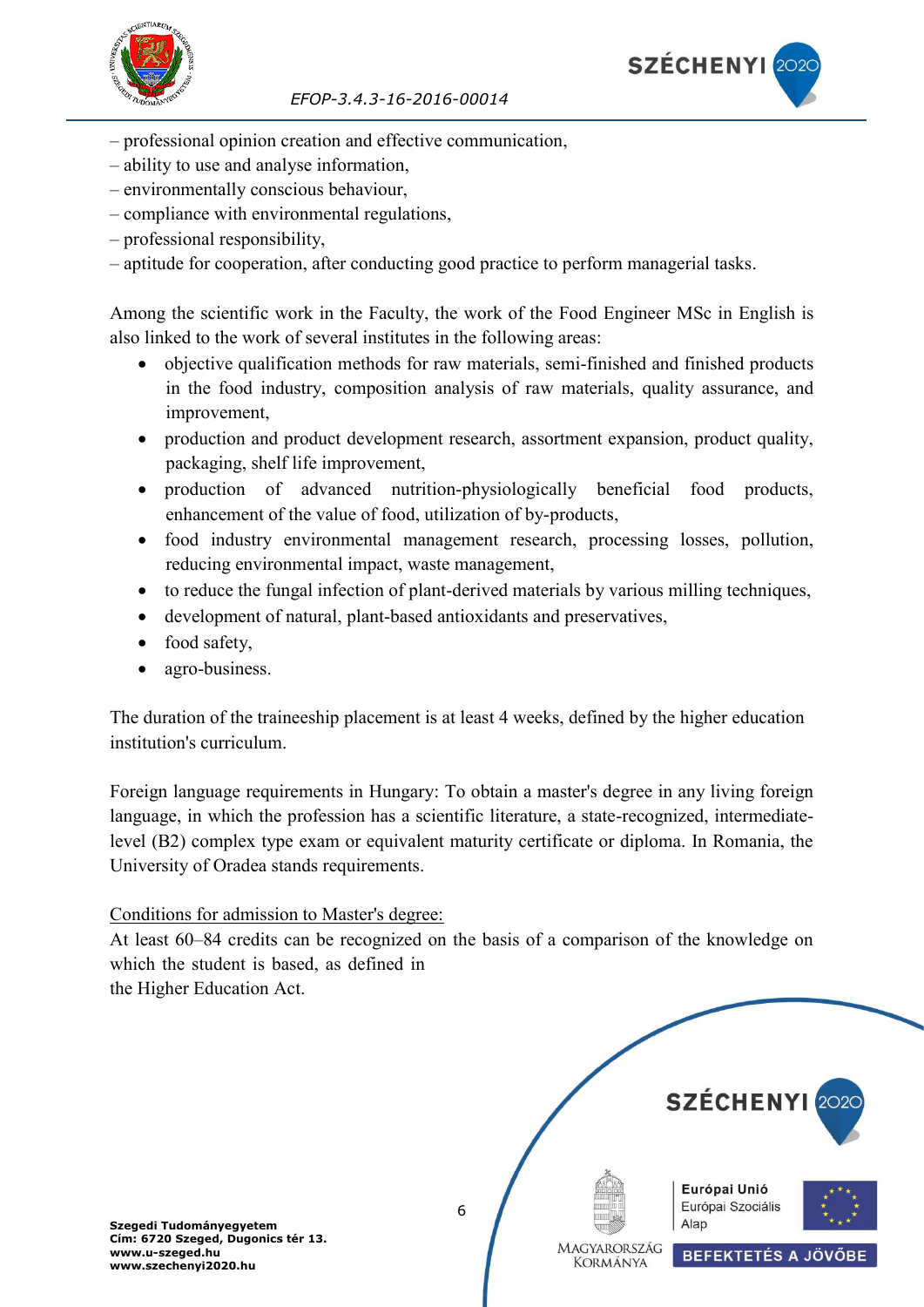

- professional opinion creation and effective communication,
- ability to use and analyse information,
- environmentally conscious behaviour,
- compliance with environmental regulations,
- professional responsibility,
- aptitude for cooperation, after conducting good practice to perform managerial tasks.

Among the scientific work in the Faculty, the work of the Food Engineer MSc in English is also linked to the work of several institutes in the following areas:

- objective qualification methods for raw materials, semi-finished and finished products in the food industry, composition analysis of raw materials, quality assurance, and improvement,
- production and product development research, assortment expansion, product quality, packaging, shelf life improvement,
- production of advanced nutrition-physiologically beneficial food products, enhancement of the value of food, utilization of by-products,
- food industry environmental management research, processing losses, pollution, reducing environmental impact, waste management,
- to reduce the fungal infection of plant-derived materials by various milling techniques,
- development of natural, plant-based antioxidants and preservatives,
- food safety,
- agro-business.

The duration of the traineeship placement is at least 4 weeks, defined by the higher education institution's curriculum.

Foreign language requirements in Hungary: To obtain a master's degree in any living foreign language, in which the profession has a scientific literature, a state-recognized, intermediatelevel (B2) complex type exam or equivalent maturity certificate or diploma. In Romania, the University of Oradea stands requirements.

#### Conditions for admission to Master's degree:

At least 60–84 credits can be recognized on the basis of a comparison of the knowledge on which the student is based, as defined in

the Higher Education Act.



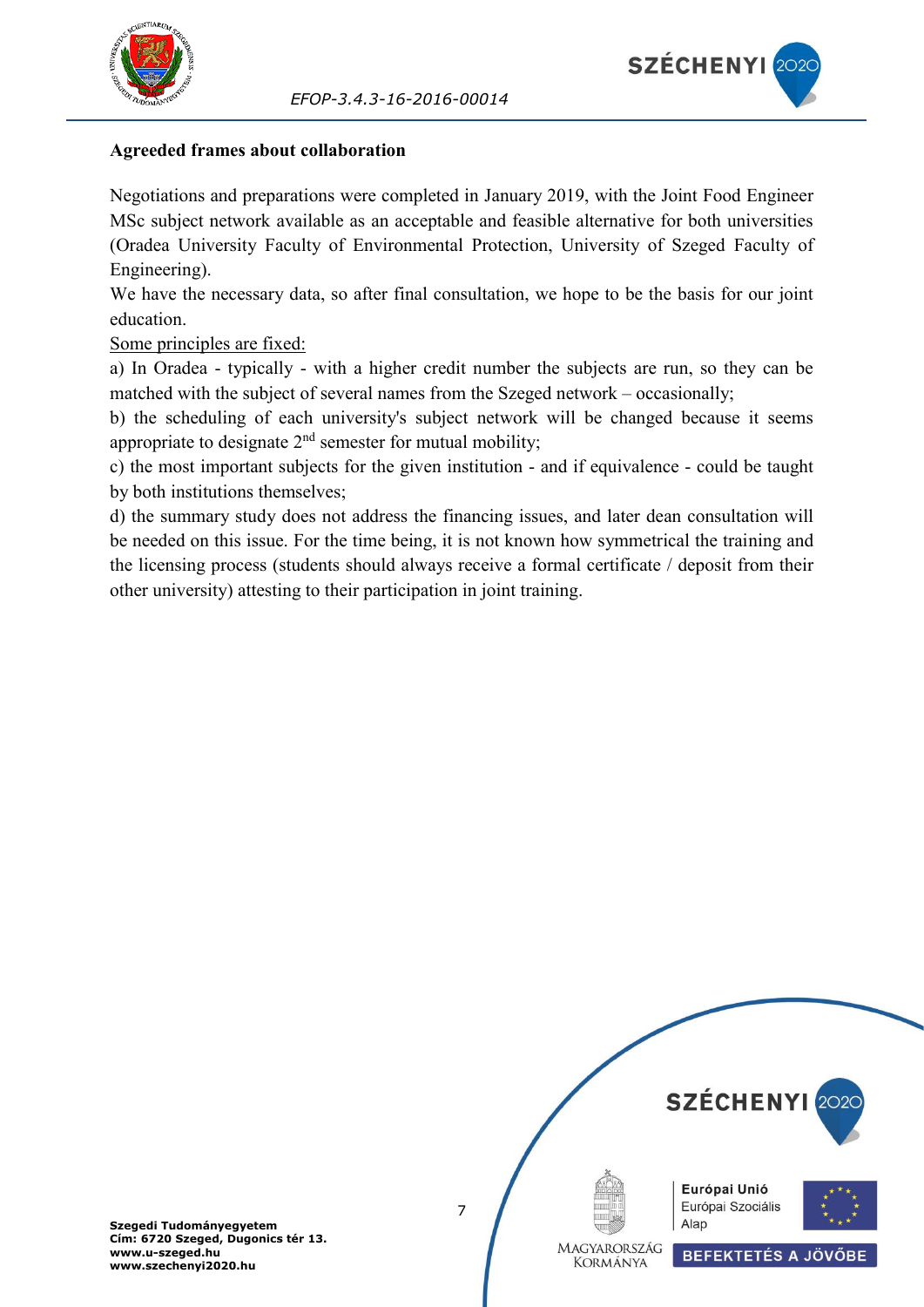



#### <span id="page-6-0"></span>**Agreeded frames about collaboration**

Negotiations and preparations were completed in January 2019, with the Joint Food Engineer MSc subject network available as an acceptable and feasible alternative for both universities (Oradea University Faculty of Environmental Protection, University of Szeged Faculty of Engineering).

We have the necessary data, so after final consultation, we hope to be the basis for our joint education.

Some principles are fixed:

a) In Oradea - typically - with a higher credit number the subjects are run, so they can be matched with the subject of several names from the Szeged network – occasionally;

b) the scheduling of each university's subject network will be changed because it seems appropriate to designate  $2<sup>nd</sup>$  semester for mutual mobility;

c) the most important subjects for the given institution - and if equivalence - could be taught by both institutions themselves;

d) the summary study does not address the financing issues, and later dean consultation will be needed on this issue. For the time being, it is not known how symmetrical the training and the licensing process (students should always receive a formal certificate / deposit from their other university) attesting to their participation in joint training.

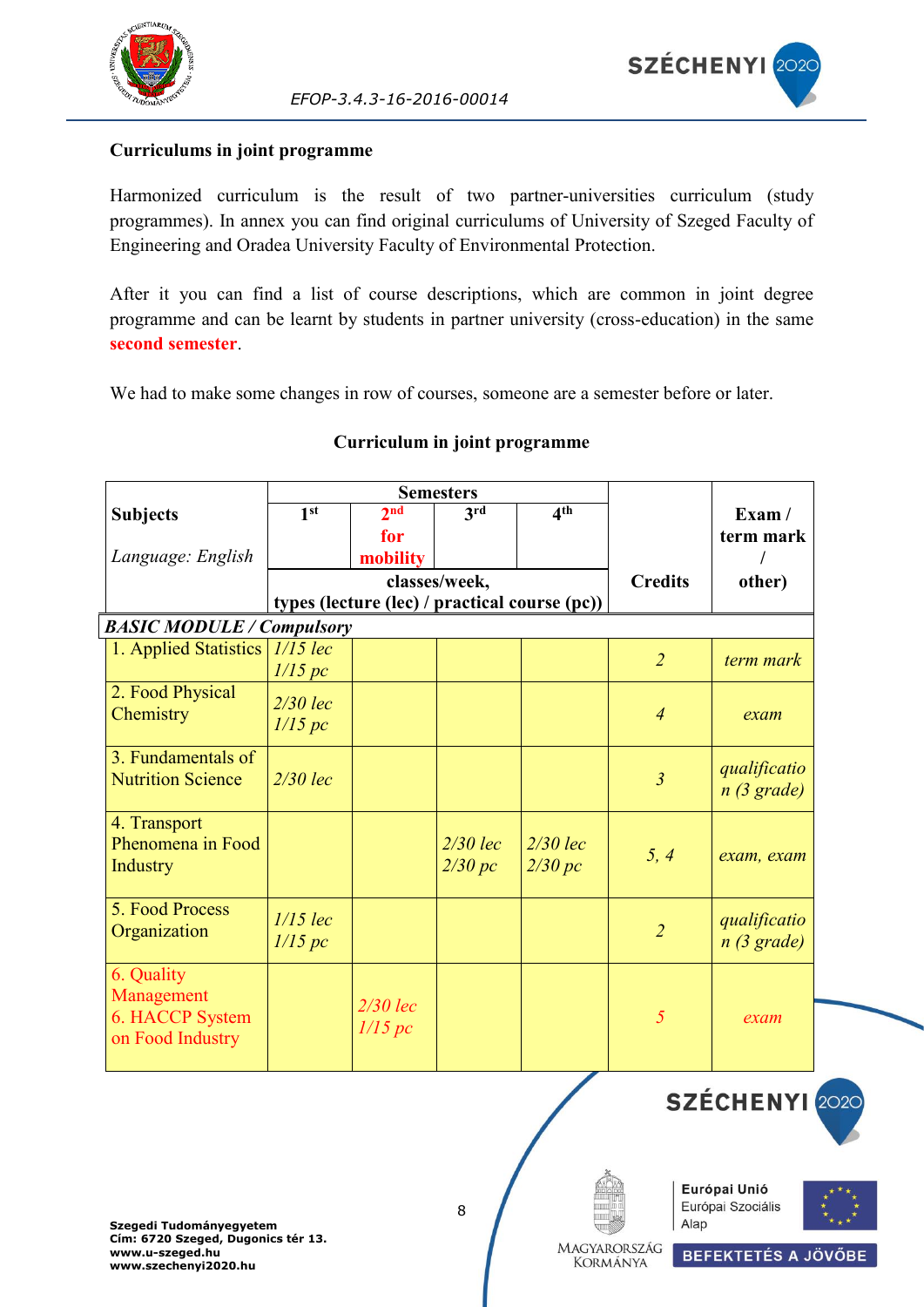

#### <span id="page-7-0"></span>**Curriculums in joint programme**

Harmonized curriculum is the result of two partner-universities curriculum (study programmes). In annex you can find original curriculums of University of Szeged Faculty of Engineering and Oradea University Faculty of Environmental Protection.

After it you can find a list of course descriptions, which are common in joint degree programme and can be learnt by students in partner university (cross-education) in the same **second semester**.

We had to make some changes in row of courses, someone are a semester before or later.

|                                  |                 |                 | <b>Semesters</b> |                                               |                |               |
|----------------------------------|-----------------|-----------------|------------------|-----------------------------------------------|----------------|---------------|
| <b>Subjects</b>                  | 1 <sup>st</sup> | 2 <sub>nd</sub> | 3rd              | 4 <sup>th</sup>                               |                | Exam/         |
|                                  |                 | for             |                  |                                               |                | term mark     |
| Language: English                |                 | mobility        |                  |                                               |                |               |
|                                  |                 |                 | classes/week,    |                                               | <b>Credits</b> | other)        |
|                                  |                 |                 |                  | types (lecture (lec) / practical course (pc)) |                |               |
| <b>BASIC MODULE / Compulsory</b> |                 |                 |                  |                                               |                |               |
| 1. Applied Statistics            | $1/15$ lec      |                 |                  |                                               | $\overline{2}$ | term mark     |
|                                  | 1/15 pc         |                 |                  |                                               |                |               |
| 2. Food Physical                 | $2/30$ lec      |                 |                  |                                               |                |               |
| Chemistry                        | 1/15 pc         |                 |                  |                                               | $\overline{4}$ | exam          |
|                                  |                 |                 |                  |                                               |                |               |
| 3. Fundamentals of               |                 |                 |                  |                                               |                | qualificatio  |
| <b>Nutrition Science</b>         | $2/30$ lec      |                 |                  |                                               | $\mathfrak{Z}$ | $n(3)$ grade) |
|                                  |                 |                 |                  |                                               |                |               |
| 4. Transport                     |                 |                 |                  |                                               |                |               |
| Phenomena in Food                |                 |                 | $2/30$ lec       | $2/30$ lec                                    | 5, 4           | exam, exam    |
| <b>Industry</b>                  |                 |                 | 2/30 pc          | 2/30 pc                                       |                |               |
|                                  |                 |                 |                  |                                               |                |               |
| 5. Food Process                  | $1/15$ lec      |                 |                  |                                               |                | qualificatio  |
| Organization                     | 1/15 pc         |                 |                  |                                               | $\overline{2}$ | n(3 grade)    |
|                                  |                 |                 |                  |                                               |                |               |
| 6. Quality                       |                 |                 |                  |                                               |                |               |
| Management<br>6. HACCP System    |                 | $2/30$ lec      |                  |                                               | 5              | exam          |
| on Food Industry                 |                 | 1/15 pc         |                  |                                               |                |               |
|                                  |                 |                 |                  |                                               |                |               |
|                                  |                 |                 |                  |                                               |                |               |

#### **Curriculum in joint programme**

**Szegedi Tudományegyetem Cím: 6720 Szeged, Dugonics tér 13. www.u-szeged.hu www.szechenyi2020.hu**





SZÉCHENYI 202



MAGYARORSZÁG **KORMÁNYA** 

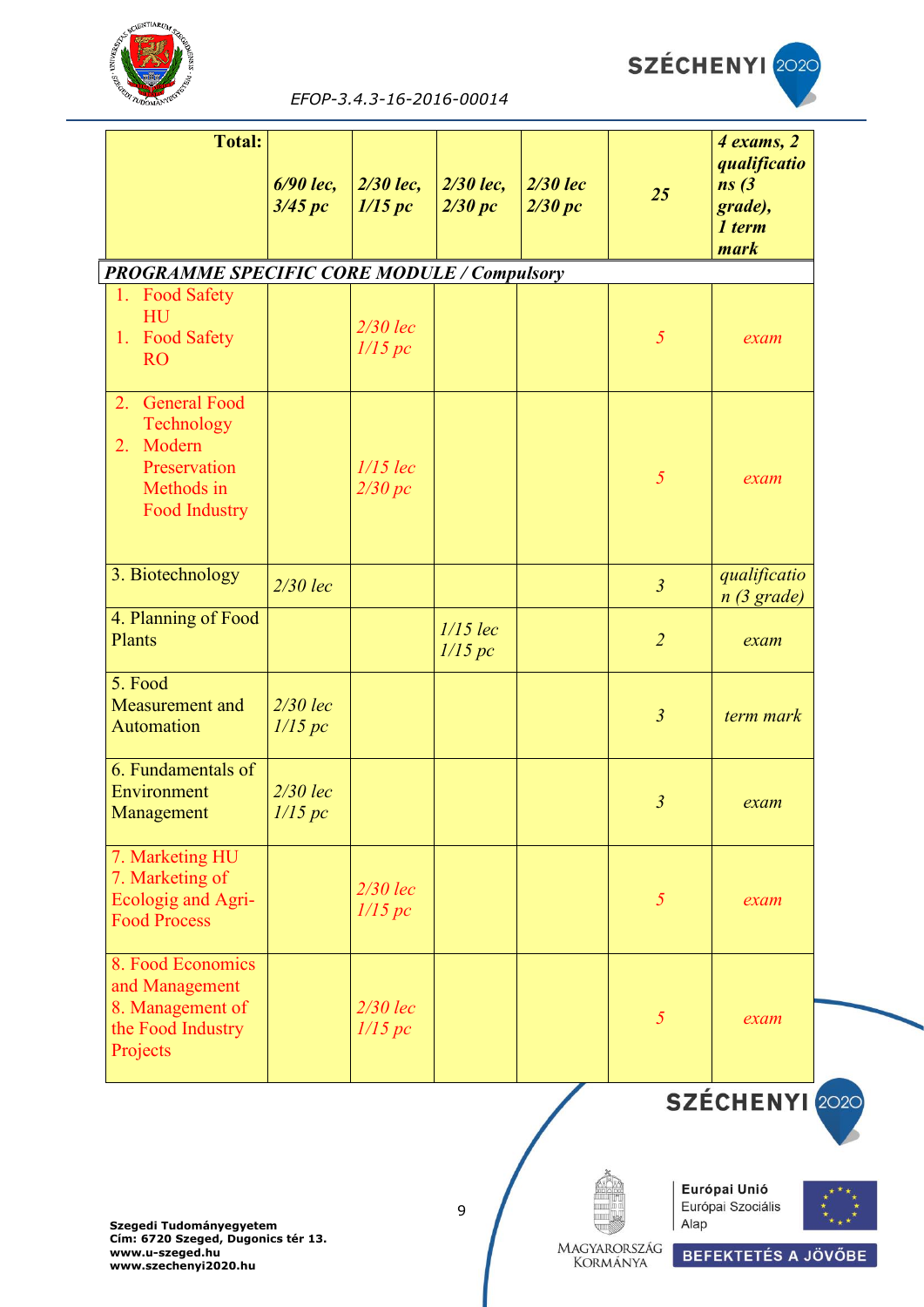



| <b>Total:</b>                                                                                          |                       |                        |                       |                            |                | 4 exams, 2                                         |
|--------------------------------------------------------------------------------------------------------|-----------------------|------------------------|-----------------------|----------------------------|----------------|----------------------------------------------------|
|                                                                                                        | 6/90 lec,<br>3/45 pc  | $2/30$ lec,<br>1/15 pc | 2/30 lec,<br>2/30 pc  | <b>2/30 lec</b><br>2/30 pc | 25             | qualificatio<br>ns(3)<br>grade),<br>1 term<br>mark |
| <b>PROGRAMME SPECIFIC CORE MODULE / Compulsory</b>                                                     |                       |                        |                       |                            |                |                                                    |
| 1. Food Safety<br>HU<br>1. Food Safety<br><b>RO</b>                                                    |                       | $2/30$ lec<br>1/15 pc  |                       |                            | $\mathfrak{H}$ | exam                                               |
| <b>General Food</b><br>2.<br>Technology<br>Modern<br>2.<br>Preservation<br>Methods in<br>Food Industry |                       | $1/15$ lec<br>2/30 pc  |                       |                            | $\mathfrak{H}$ | exam                                               |
| 3. Biotechnology                                                                                       | $2/30$ lec            |                        |                       |                            | $\overline{3}$ | qualificatio<br>n(3 grade)                         |
| 4. Planning of Food<br>Plants                                                                          |                       |                        | $1/15$ lec<br>1/15 pc |                            | $\overline{2}$ | exam                                               |
| 5. Food<br>Measurement and<br>Automation                                                               | $2/30$ lec<br>1/15 pc |                        |                       |                            | $\mathfrak{Z}$ | term mark                                          |
| 6. Fundamentals of<br>Environment<br>Management                                                        | $2/30$ lec<br>1/15 pc |                        |                       |                            | $\mathfrak{Z}$ | exam                                               |
| 7. Marketing HU<br>7. Marketing of<br>Ecologig and Agri-<br><b>Food Process</b>                        |                       | $2/30$ lec<br>1/15 pc  |                       |                            | $\mathfrak{H}$ | exam                                               |
| 8. Food Economics<br>and Management<br>8. Management of                                                |                       | $2/30$ lec             |                       |                            | $\mathfrak{H}$ | exam                                               |
| the Food Industry<br>Projects                                                                          |                       | 1/15 pc                |                       |                            |                |                                                    |

SZÉCHENYI 2020









MAGYARORSZÁG **KORMÁNYA**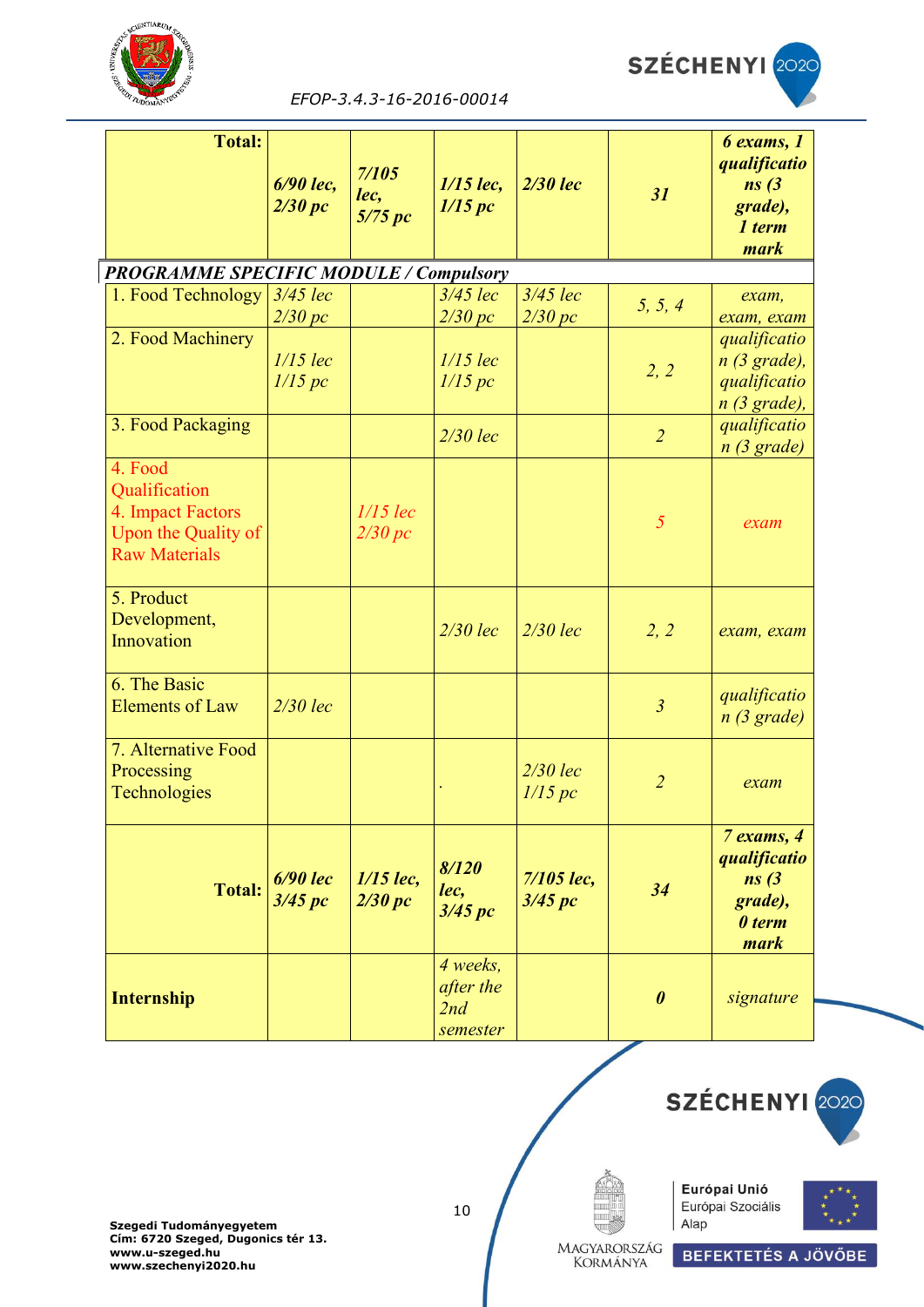



| <b>Total:</b>                                                                                |                       |                          |                                          |                       |                       | 6 exams, 1                                                       |
|----------------------------------------------------------------------------------------------|-----------------------|--------------------------|------------------------------------------|-----------------------|-----------------------|------------------------------------------------------------------|
|                                                                                              | 6/90 lec.<br>2/30 pc  | 7/105<br>lec,<br>5/75 pc | $1/15$ lec,<br>1/15 pc                   | <b>2/30 lec</b>       | 31                    | qualificatio<br>ns(3)<br>grade),<br>1 term<br>mark               |
| <b>PROGRAMME SPECIFIC MODULE / Compulsory</b>                                                |                       |                          |                                          |                       |                       |                                                                  |
| 1. Food Technology                                                                           | 3/45 lec<br>2/30 pc   |                          | $3/45$ lec<br>2/30 pc                    | $3/45$ lec<br>2/30 pc | 5, 5, 4               | $exam$ ,<br>exam, exam                                           |
| 2. Food Machinery                                                                            | $1/15$ lec<br>1/15 pc |                          | $1/15$ lec<br>1/15 pc                    |                       | 2, 2                  | qualificatio<br>$n(3)$ grade),<br>qualificatio<br>$n$ (3 grade), |
| 3. Food Packaging                                                                            |                       |                          | $2/30$ lec                               |                       | $\overline{2}$        | qualificatio<br>$n(3)$ grade)                                    |
| 4. Food<br>Qualification<br>4. Impact Factors<br>Upon the Quality of<br><b>Raw Materials</b> |                       | $1/15$ lec<br>2/30 pc    |                                          |                       | 5                     | exam                                                             |
| 5. Product<br>Development,<br>Innovation                                                     |                       |                          | $2/30$ lec                               | $2/30$ lec            | 2, 2                  | exam, exam                                                       |
| 6. The Basic<br><b>Elements of Law</b>                                                       | $2/30$ lec            |                          |                                          |                       | $\mathfrak{Z}$        | qualificatio<br>n(3 grade)                                       |
| 7. Alternative Food<br>Processing<br>Technologies                                            |                       |                          |                                          | $2/30$ lec<br>1/15 pc | $\overline{2}$        | exam                                                             |
| <b>Total:</b>                                                                                | $6/90$ lec<br>3/45 pc | $1/15$ lec,<br>2/30 pc   | 8/120<br>lec,<br>3/45 pc                 | 7/105 lec,<br>3/45~pc | 34                    | 7 exams, 4<br>qualificatio<br>ns(3)<br>grade),<br>0 term<br>mark |
| <b>Internship</b>                                                                            |                       |                          | 4 weeks,<br>after the<br>2nd<br>semester |                       | $\boldsymbol{\theta}$ | signature                                                        |



10





Magyarország<br>Kormánya

SZÉCHENYI 2020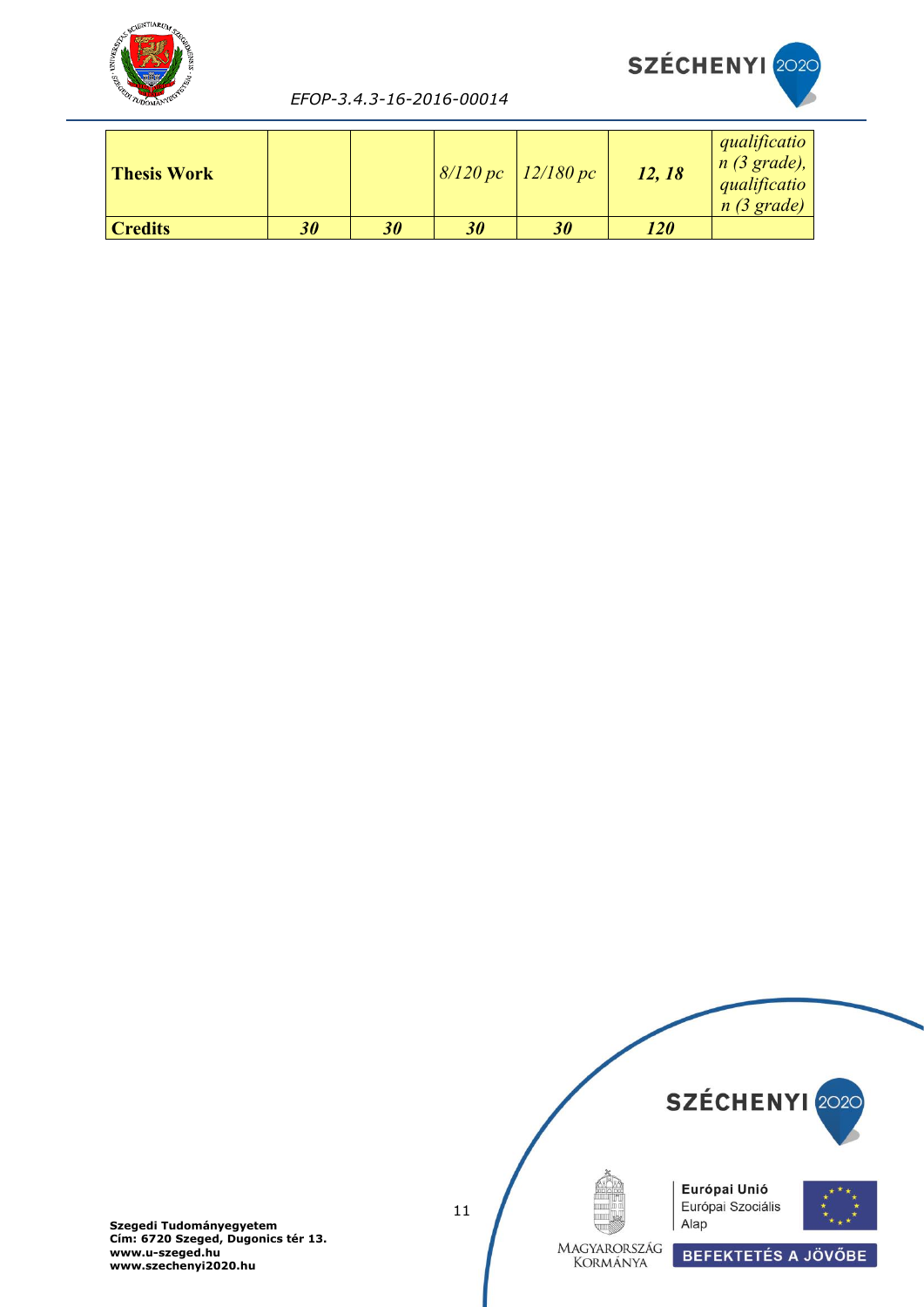



| <b>Thesis Work</b> |           |    |    | $8/120 pc$ 12/180 pc | 12, 18     | qualificatio<br>$n(3)$ grade),<br>qualificatio<br>n(3 grade) |
|--------------------|-----------|----|----|----------------------|------------|--------------------------------------------------------------|
| <b>Credits</b>     | <b>30</b> | 30 | 30 | 30                   | <b>120</b> |                                                              |

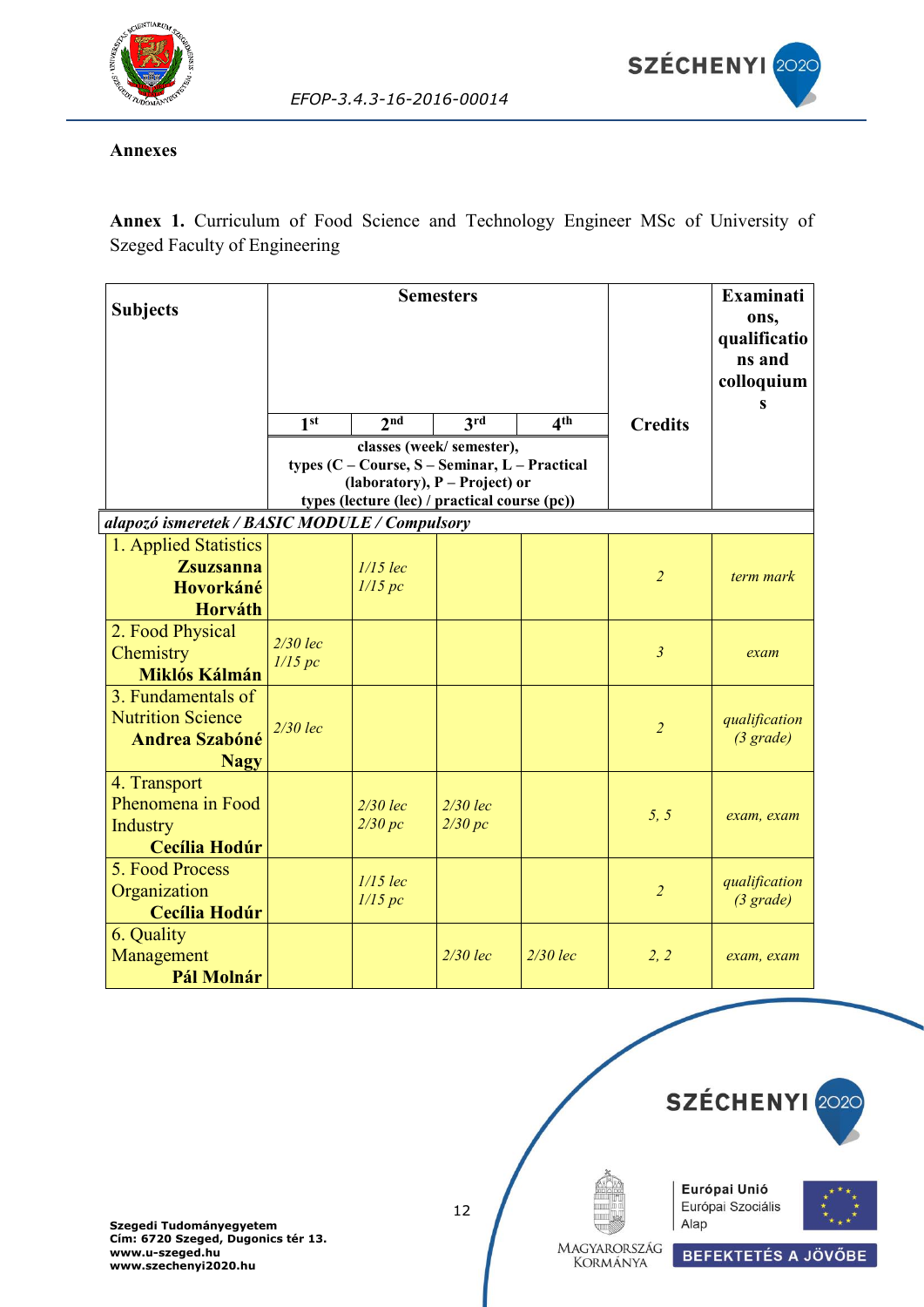

#### <span id="page-11-0"></span>**Annexes**

**Annex 1.** Curriculum of Food Science and Technology Engineer MSc of University of Szeged Faculty of Engineering

*EFOP-3.4.3-16-2016-00014*

| <b>Subjects</b>                                                                        |                       | <b>Semesters</b>      |                                                                                                                                                               | <b>Examinati</b><br>ons,<br>qualificatio<br>ns and<br>colloquium |                |                                      |
|----------------------------------------------------------------------------------------|-----------------------|-----------------------|---------------------------------------------------------------------------------------------------------------------------------------------------------------|------------------------------------------------------------------|----------------|--------------------------------------|
|                                                                                        | 1 <sup>st</sup>       | 2 <sup>nd</sup>       | 3rd                                                                                                                                                           | 4 <sup>th</sup>                                                  | <b>Credits</b> |                                      |
|                                                                                        |                       |                       | classes (week/semester),<br>types $(C - Course, S - Seminar, L - Practical$<br>(laboratory), P - Project) or<br>types (lecture (lec) / practical course (pc)) |                                                                  |                |                                      |
| alapozó ismeretek / BASIC MODULE / Compulsory                                          |                       |                       |                                                                                                                                                               |                                                                  |                |                                      |
| 1. Applied Statistics<br><b>Zsuzsanna</b><br>Hovorkáné<br>Horváth                      |                       | $1/15$ lec<br>1/15 pc |                                                                                                                                                               |                                                                  | $\overline{2}$ | term mark                            |
| 2. Food Physical<br>Chemistry<br>Miklós Kálmán                                         | $2/30$ lec<br>1/15 pc |                       |                                                                                                                                                               |                                                                  | $\mathfrak{Z}$ | exam                                 |
| 3. Fundamentals of<br><b>Nutrition Science</b><br><b>Andrea Szabóné</b><br><b>Nagy</b> | $2/30$ lec            |                       |                                                                                                                                                               |                                                                  | $\overline{2}$ | qualification<br>$(3 \text{ grade})$ |
| 4. Transport<br>Phenomena in Food<br>Industry<br><b>Cecília Hodúr</b>                  |                       | $2/30$ lec<br>2/30 pc | $2/30$ lec<br>2/30 pc                                                                                                                                         |                                                                  | 5, 5           | exam, exam                           |
| 5. Food Process<br>Organization<br><b>Cecília Hodúr</b>                                |                       | $1/15$ lec<br>1/15 pc |                                                                                                                                                               |                                                                  | $\overline{2}$ | qualification<br>$(3 \text{ grade})$ |
| 6. Quality<br>Management<br>Pál Molnár                                                 |                       |                       | $2/30$ lec                                                                                                                                                    | $2/30$ lec                                                       | 2, 2           | exam, exam                           |

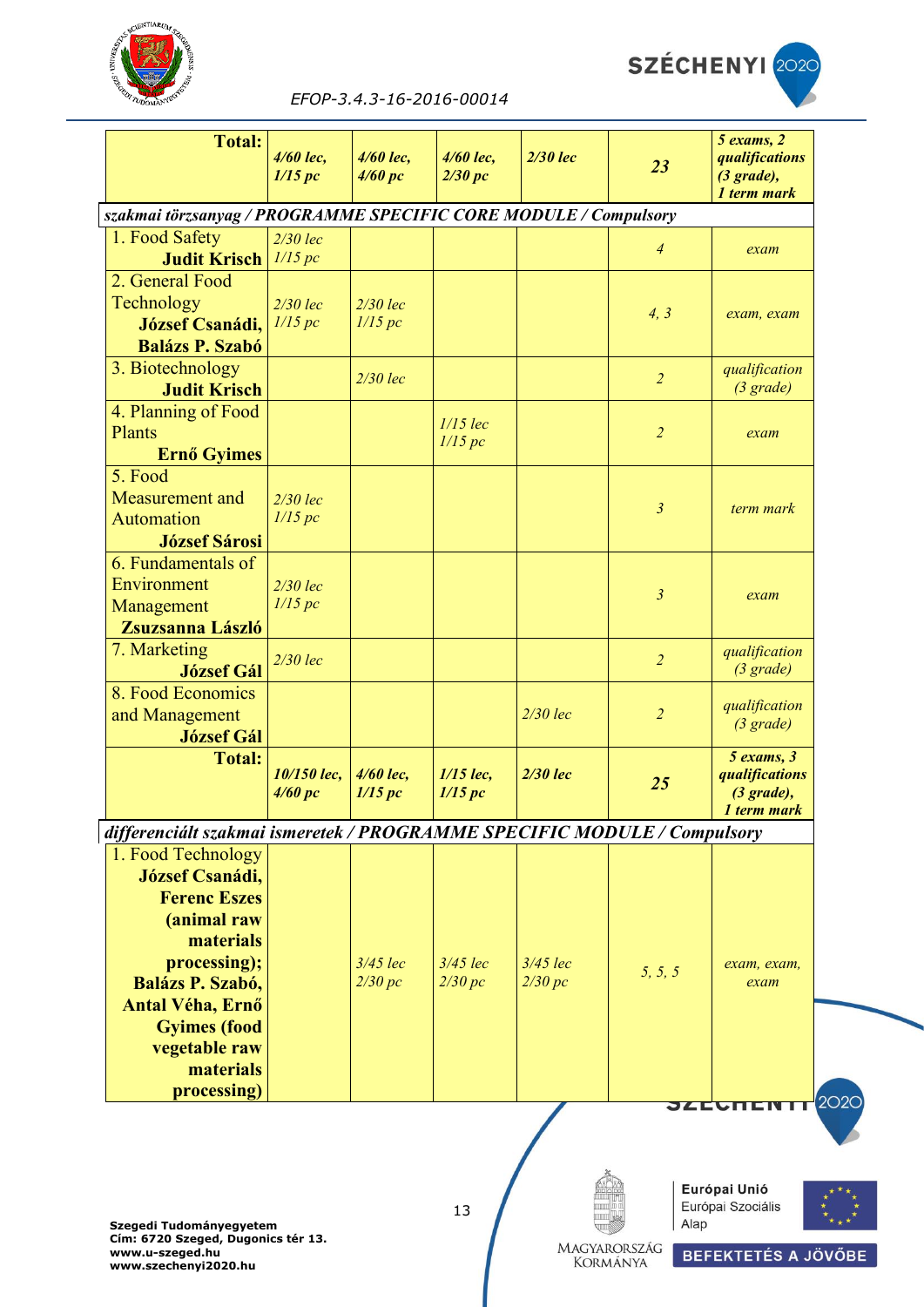



| EFOP-3.4.3-16-2016-00014 |
|--------------------------|
|                          |

| <b>Total:</b>                                                            | 4/60 lec,<br>1/15 pc   | $4/60$ lec,<br>4/60~pc | 4/60 lec,<br>2/30 pc   | $2/30$ lec | 23             | $5$ exams, $2$<br>qualifications<br>$(3 \text{ grade})$ ,<br>1 term mark |
|--------------------------------------------------------------------------|------------------------|------------------------|------------------------|------------|----------------|--------------------------------------------------------------------------|
| szakmai törzsanyag / PROGRAMME SPECIFIC CORE MODULE / Compulsory         |                        |                        |                        |            |                |                                                                          |
| 1. Food Safety                                                           | $2/30$ lec             |                        |                        |            | $\overline{4}$ | exam                                                                     |
| <b>Judit Krisch</b>                                                      | 1/15 pc                |                        |                        |            |                |                                                                          |
| 2. General Food                                                          |                        |                        |                        |            |                |                                                                          |
| Technology                                                               | $2/30$ lec             | $2/30$ lec             |                        |            | 4, 3           | exam, exam                                                               |
| <b>József Csanádi,</b>                                                   | 1/15 pc                | 1/15 pc                |                        |            |                |                                                                          |
| <b>Balázs P. Szabó</b>                                                   |                        |                        |                        |            |                |                                                                          |
| 3. Biotechnology<br><b>Judit Krisch</b>                                  |                        | $2/30$ lec             |                        |            | $\overline{2}$ | qualification<br>(3 grade)                                               |
| 4. Planning of Food                                                      |                        |                        |                        |            |                |                                                                          |
| Plants                                                                   |                        |                        | $1/15$ lec             |            | $\overline{2}$ | exam                                                                     |
| Ernő Gyimes                                                              |                        |                        | 1/15 pc                |            |                |                                                                          |
| 5. Food                                                                  |                        |                        |                        |            |                |                                                                          |
| Measurement and                                                          | $2/30$ lec             |                        |                        |            |                |                                                                          |
| Automation                                                               | 1/15 pc                |                        |                        |            | $\mathfrak{z}$ | term mark                                                                |
| <b>József Sárosi</b>                                                     |                        |                        |                        |            |                |                                                                          |
| 6. Fundamentals of                                                       |                        |                        |                        |            |                |                                                                          |
| Environment                                                              | $2/30$ lec             |                        |                        |            |                |                                                                          |
| Management                                                               | 1/15 pc                |                        |                        |            | $\mathfrak{z}$ | exam                                                                     |
| Zsuzsanna László                                                         |                        |                        |                        |            |                |                                                                          |
| 7. Marketing                                                             | $2/30$ lec             |                        |                        |            | $\overline{2}$ | qualification                                                            |
| <b>József Gál</b>                                                        |                        |                        |                        |            |                | $(3 \text{ grade})$                                                      |
| 8. Food Economics                                                        |                        |                        |                        |            |                | qualification                                                            |
| and Management                                                           |                        |                        |                        | $2/30$ lec | $\overline{2}$ | $(3 \text{ grade})$                                                      |
| <b>József Gál</b>                                                        |                        |                        |                        |            |                |                                                                          |
| <b>Total:</b>                                                            | 10/150 lec,<br>4/60 pc | 4/60 lec,<br>1/15 pc   | $1/15$ lec,<br>1/15 pc | $2/30$ lec | 25             | $5$ exams, $3$<br>qualifications<br>$(3 \text{ grade})$ ,<br>1 term mark |
| differenciált szakmai ismeretek / PROGRAMME SPECIFIC MODULE / Compulsory |                        |                        |                        |            |                |                                                                          |
| 1. Food Technology                                                       |                        |                        |                        |            |                |                                                                          |
| <b>József Csanádi,</b>                                                   |                        |                        |                        |            |                |                                                                          |
| <b>Ferenc Eszes</b>                                                      |                        |                        |                        |            |                |                                                                          |
| (animal raw                                                              |                        |                        |                        |            |                |                                                                          |
| materials                                                                |                        |                        |                        |            |                |                                                                          |
| processing);                                                             |                        | $3/45$ lec             | $3/45$ lec             | $3/45$ lec | 5, 5, 5        | exam, exam,                                                              |
| <b>Balázs P. Szabó,</b>                                                  |                        | 2/30 pc                | 2/30 pc                | 2/30 pc    |                | exam                                                                     |
| <b>Antal Véha, Ernő</b>                                                  |                        |                        |                        |            |                |                                                                          |
| <b>Gyimes</b> (food                                                      |                        |                        |                        |            |                |                                                                          |
| vegetable raw                                                            |                        |                        |                        |            |                |                                                                          |
| materials                                                                |                        |                        |                        |            |                |                                                                          |
| processing)                                                              |                        |                        |                        |            | ЭДЕСП          |                                                                          |
|                                                                          |                        |                        |                        |            |                |                                                                          |







Magyarország<br>Kormánya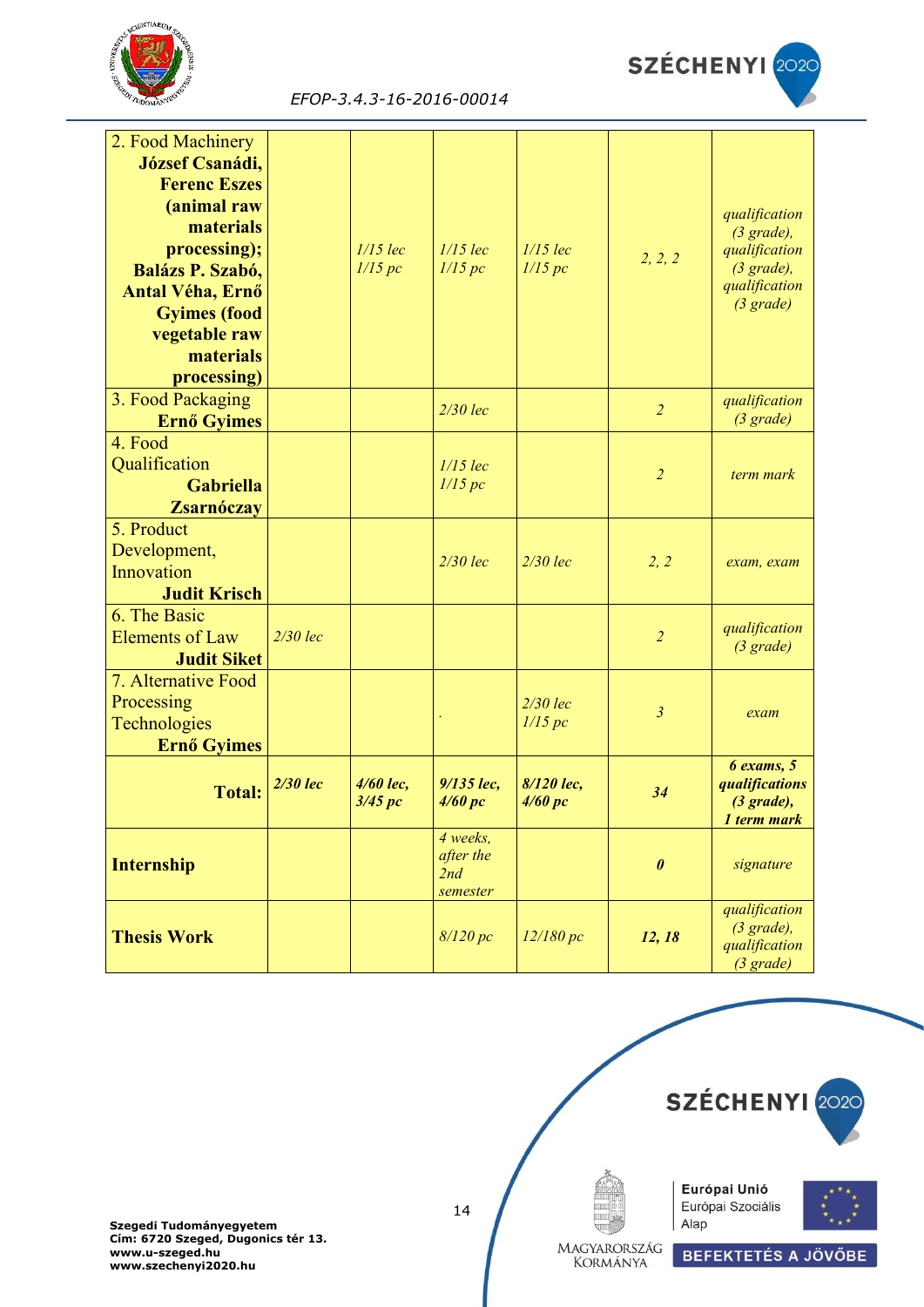



| 2. Food Machinery       |            |            |                       |            |                       |                                      |
|-------------------------|------------|------------|-----------------------|------------|-----------------------|--------------------------------------|
| <b>József Csanádi,</b>  |            |            |                       |            |                       |                                      |
|                         |            |            |                       |            |                       |                                      |
| <b>Ferenc Eszes</b>     |            |            |                       |            |                       |                                      |
| (animal raw             |            |            |                       |            |                       | qualification                        |
| materials               |            |            |                       |            |                       | $(3 \text{ grade})$ ,                |
| processing);            |            | $1/15$ lec | $1/15$ lec            | $1/15$ lec | 2, 2, 2               | qualification                        |
| <b>Balázs P. Szabó,</b> |            | 1/15 pc    | 1/15 pc               | 1/15 pc    |                       | $(3 \text{ grade})$ ,                |
| Antal Véha, Ernő        |            |            |                       |            |                       | qualification                        |
| <b>Gyimes</b> (food     |            |            |                       |            |                       | $(3 \text{ grade})$                  |
| vegetable raw           |            |            |                       |            |                       |                                      |
| materials               |            |            |                       |            |                       |                                      |
| processing)             |            |            |                       |            |                       |                                      |
| 3. Food Packaging       |            |            |                       |            |                       | qualification                        |
| Ernő Gyimes             |            |            | $2/30$ lec            |            | $\overline{2}$        | (3 grade)                            |
| 4. Food                 |            |            |                       |            |                       |                                      |
| Qualification           |            |            | $1/15$ lec            |            |                       |                                      |
|                         |            |            | 1/15 pc               |            | $\overline{2}$        | term mark                            |
| <b>Gabriella</b>        |            |            |                       |            |                       |                                      |
| <b>Zsarnóczay</b>       |            |            |                       |            |                       |                                      |
| 5. Product              |            |            |                       |            |                       |                                      |
| Development,            |            |            | $2/30$ lec            | $2/30$ lec | 2, 2                  | exam, exam                           |
| Innovation              |            |            |                       |            |                       |                                      |
| <b>Judit Krisch</b>     |            |            |                       |            |                       |                                      |
| 6. The Basic            |            |            |                       |            |                       |                                      |
| <b>Elements of Law</b>  | $2/30$ lec |            |                       |            | $\overline{2}$        | qualification<br>$(3 \text{ grade})$ |
| <b>Judit Siket</b>      |            |            |                       |            |                       |                                      |
| 7. Alternative Food     |            |            |                       |            |                       |                                      |
| Processing              |            |            |                       | $2/30$ lec |                       |                                      |
| Technologies            |            |            |                       | 1/15 pc    | $\mathfrak{z}$        | exam                                 |
| Ernő Gyimes             |            |            |                       |            |                       |                                      |
|                         |            |            |                       |            |                       | $6$ exams, $5$                       |
| <b>Total:</b>           | $2/30$ lec | 4/60 lec,  | 9/135 lec,            | 8/120 lec, | 34                    | qualifications                       |
|                         |            | 3/45 pc    | 4/60 pc               | 4/60 pc    |                       | $(3 grade)$ ,                        |
|                         |            |            |                       |            |                       | 1 term mark                          |
|                         |            |            | 4 weeks,<br>after the |            |                       |                                      |
| <b>Internship</b>       |            |            | 2nd                   |            | $\boldsymbol{\theta}$ | signature                            |
|                         |            |            | semester              |            |                       |                                      |
|                         |            |            |                       |            |                       | qualification                        |
| <b>Thesis Work</b>      |            |            | 8/120 pc              | 12/180 pc  |                       | $(3 grade)$ ,                        |
|                         |            |            |                       |            | 12, 18                | qualification                        |
|                         |            |            |                       |            |                       | $(3 \text{ grade})$                  |

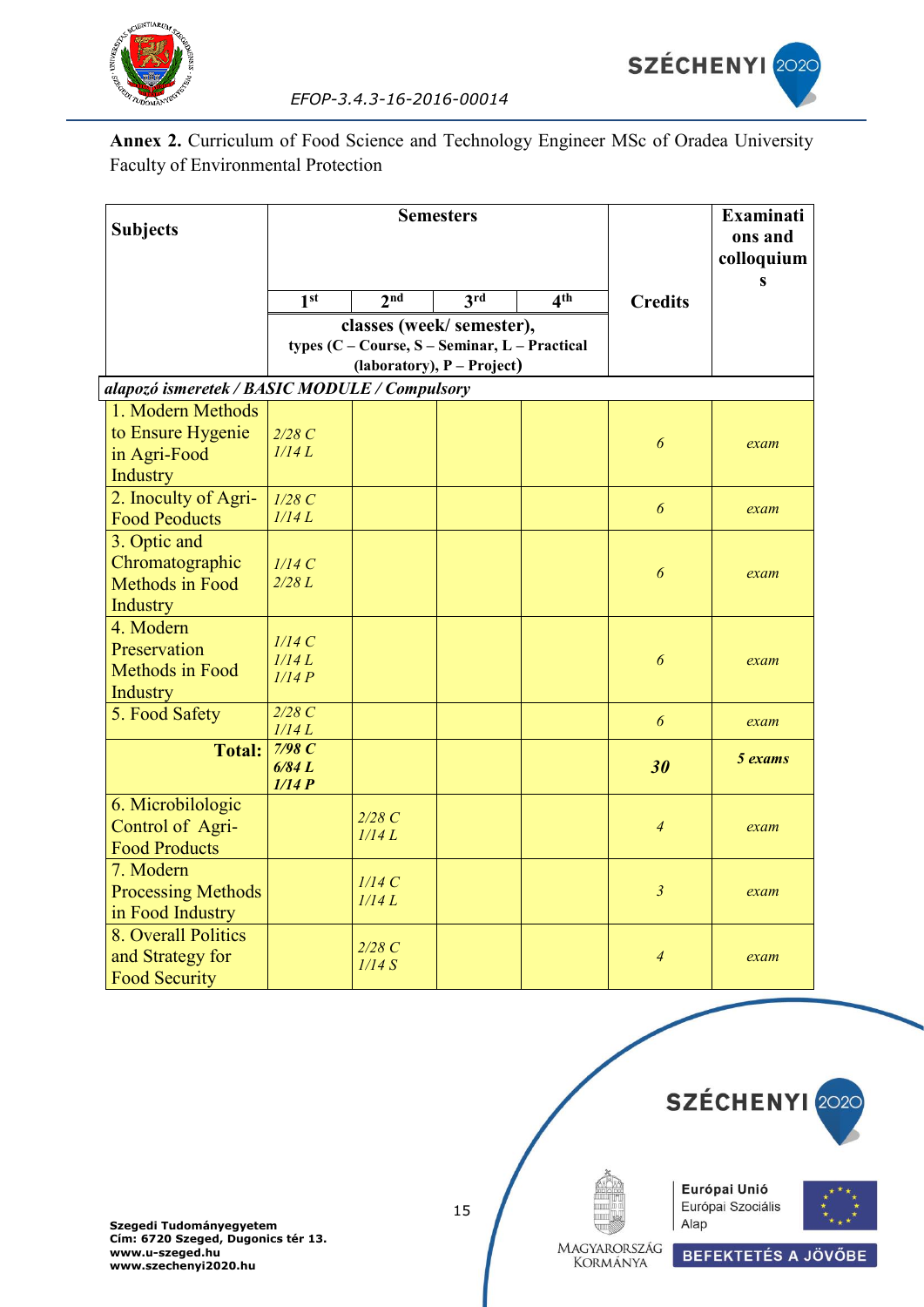

**Annex 2.** Curriculum of Food Science and Technology Engineer MSc of Oradea University Faculty of Environmental Protection

| <b>Subjects</b>                                                    | <b>Semesters</b>             |                                                                           |                            |                 |                       | <b>Examinati</b><br>ons and<br>colloquium<br>S |
|--------------------------------------------------------------------|------------------------------|---------------------------------------------------------------------------|----------------------------|-----------------|-----------------------|------------------------------------------------|
|                                                                    | 1 <sup>st</sup>              | 2 <sub>nd</sub>                                                           | 3rd                        | 4 <sup>th</sup> | <b>Credits</b>        |                                                |
|                                                                    |                              | classes (week/semester),<br>types (C - Course, S - Seminar, L - Practical | (laboratory), P - Project) |                 |                       |                                                |
| alapozó ismeretek / BASIC MODULE / Compulsory                      |                              |                                                                           |                            |                 |                       |                                                |
| 1. Modern Methods<br>to Ensure Hygenie<br>in Agri-Food<br>Industry | 2/28C<br>1/14L               |                                                                           |                            |                 | 6                     | exam                                           |
| 2. Inoculty of Agri-<br><b>Food Peoducts</b>                       | 1/28C<br>1/14L               |                                                                           |                            |                 | 6                     | exam                                           |
| 3. Optic and<br>Chromatographic<br>Methods in Food<br>Industry     | 1/14C<br>2/28L               |                                                                           |                            |                 | $\boldsymbol{\delta}$ | exam                                           |
| 4. Modern<br>Preservation<br>Methods in Food<br>Industry           | 1/14C<br>1/14L<br>1/14P      |                                                                           |                            |                 | 6                     | exam                                           |
| 5. Food Safety                                                     | 2/28C<br>1/14L               |                                                                           |                            |                 | 6                     | exam                                           |
| <b>Total:</b>                                                      | $7/98$ $C$<br>6/84L<br>1/14P |                                                                           |                            |                 | 30                    | 5 exams                                        |
| 6. Microbilologic<br>Control of Agri-<br><b>Food Products</b>      |                              | 2/28C<br>1/14L                                                            |                            |                 | $\overline{4}$        | exam                                           |
| 7. Modern<br><b>Processing Methods</b><br>in Food Industry         |                              | 1/14C<br>1/14L                                                            |                            |                 | $\mathfrak{Z}$        | exam                                           |
| 8. Overall Politics<br>and Strategy for<br><b>Food Security</b>    |                              | 2/28C<br>1/14S                                                            |                            |                 | $\overline{4}$        | exam                                           |

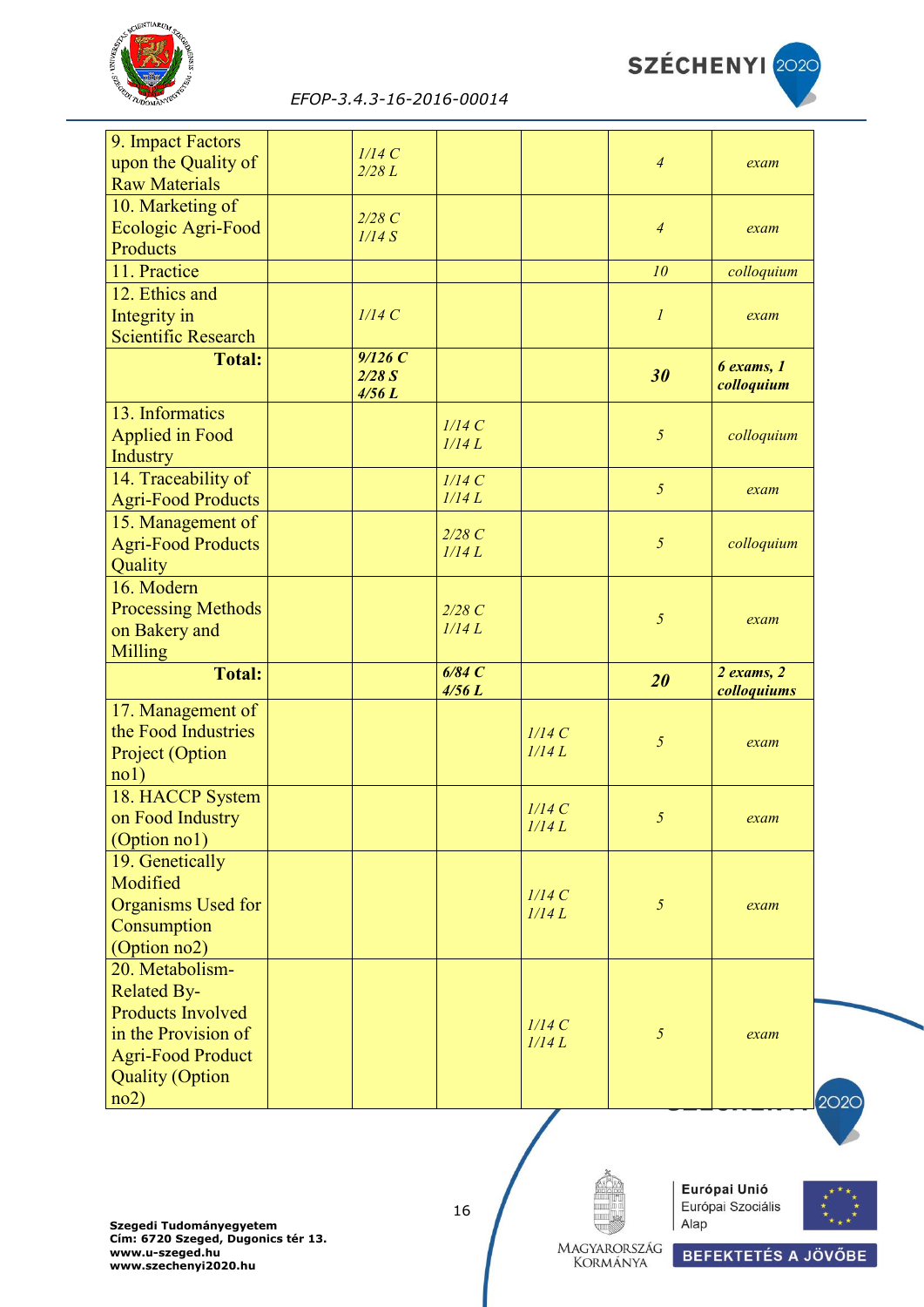



| 9. Impact Factors<br>upon the Quality of        | 1/14C<br>2/28L           |                |       | $\overline{4}$   | exam                          |
|-------------------------------------------------|--------------------------|----------------|-------|------------------|-------------------------------|
| <b>Raw Materials</b>                            |                          |                |       |                  |                               |
| 10. Marketing of                                | 2/28C                    |                |       |                  |                               |
| Ecologic Agri-Food                              | 1/14S                    |                |       | $\overline{4}$   | exam                          |
| Products                                        |                          |                |       |                  |                               |
| 11. Practice                                    |                          |                |       | 10               | colloquium                    |
| 12. Ethics and                                  |                          |                |       |                  |                               |
| Integrity in                                    | 1/14C                    |                |       | $\boldsymbol{l}$ | exam                          |
| <b>Scientific Research</b>                      |                          |                |       |                  |                               |
| <b>Total:</b>                                   | 9/126C<br>2/28S<br>4/56L |                |       | 30               | $6$ exams, $1$<br>colloquium  |
| 13. Informatics                                 |                          |                |       |                  |                               |
| <b>Applied in Food</b>                          |                          | 1/14C<br>1/14L |       | 5                | colloquium                    |
| Industry                                        |                          |                |       |                  |                               |
| 14. Traceability of                             |                          | 1/14C          |       | 5                |                               |
| <b>Agri-Food Products</b>                       |                          | 1/14L          |       |                  | exam                          |
| 15. Management of                               |                          |                |       |                  |                               |
| <b>Agri-Food Products</b>                       |                          | 2/28C<br>1/14L |       | $\sqrt{2}$       | colloquium                    |
| Quality                                         |                          |                |       |                  |                               |
| 16. Modern                                      |                          |                |       |                  |                               |
| <b>Processing Methods</b>                       |                          | 2/28C          |       | $\mathfrak{H}$   | exam                          |
| on Bakery and                                   |                          | 1/14L          |       |                  |                               |
| Milling                                         |                          |                |       |                  |                               |
| <b>Total:</b>                                   |                          | 6/84C<br>4/56L |       | 20               | $2$ exams, $2$<br>colloquiums |
| 17. Management of                               |                          |                |       |                  |                               |
| the Food Industries                             |                          |                | 1/14C | $\sqrt{2}$       | exam                          |
| Project (Option                                 |                          |                | 1/14L |                  |                               |
| no1)                                            |                          |                |       |                  |                               |
| 18. HACCP System                                |                          |                | 1/14C |                  |                               |
| on Food Industry                                |                          |                | 1/14L | 5 <sup>1</sup>   | exam                          |
| (Option no1)                                    |                          |                |       |                  |                               |
| 19. Genetically                                 |                          |                |       |                  |                               |
| Modified                                        |                          |                | 1/14C |                  |                               |
| Organisms Used for                              |                          |                | 1/14L | 5                | exam                          |
| Consumption                                     |                          |                |       |                  |                               |
| (Option no2)                                    |                          |                |       |                  |                               |
| 20. Metabolism-                                 |                          |                |       |                  |                               |
| <b>Related By-</b>                              |                          |                |       |                  |                               |
| <b>Products Involved</b>                        |                          |                | 1/14C |                  |                               |
| in the Provision of<br><b>Agri-Food Product</b> |                          |                | 1/14L | 5                | exam                          |
|                                                 |                          |                |       |                  |                               |
|                                                 |                          |                |       |                  |                               |
| <b>Quality (Option</b><br>no2)                  |                          |                |       |                  |                               |

**Szegedi Tudományegyetem Cím: 6720 Szeged, Dugonics tér 13. www.u-szeged.hu www.szechenyi2020.hu**

16

Európai Unió Európai Szociális Alap



Magyarország<br>Kormánya